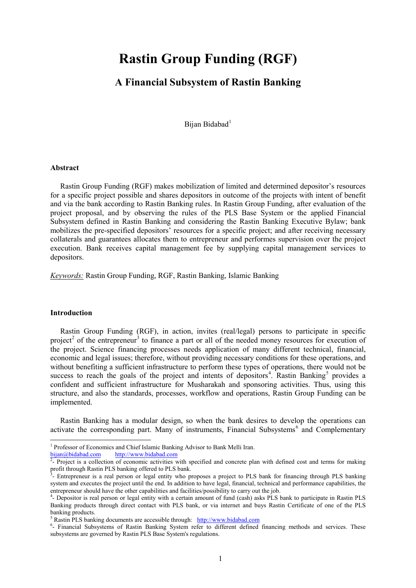# **Rastin Group Funding (RGF)**

# **A Financial Subsystem of Rastin Banking**

Bijan Bidabad<sup>[1](#page-0-0)</sup>

#### **Abstract**

Rastin Group Funding (RGF) makes mobilization of limited and determined depositor's resources for a specific project possible and shares depositors in outcome of the projects with intent of benefit and via the bank according to Rastin Banking rules. In Rastin Group Funding, after evaluation of the project proposal, and by observing the rules of the PLS Base System or the applied Financial Subsystem defined in Rastin Banking and considering the Rastin Banking Executive Bylaw; bank mobilizes the pre-specified depositors' resources for a specific project; and after receiving necessary collaterals and guarantees allocates them to entrepreneur and performes supervision over the project execution. Bank receives capital management fee by supplying capital management services to depositors.

*Keywords:* Rastin Group Funding, RGF, Rastin Banking, Islamic Banking

#### **Introduction**

**.** 

Rastin Group Funding (RGF), in action, invites (real/legal) persons to participate in specific project<sup>[2](#page-0-1)</sup> of the entrepreneur<sup>[3](#page-0-2)</sup> to finance a part or all of the needed money resources for execution of the project. Science financing processes needs application of many different technical, financial, economic and legal issues; therefore, without providing necessary conditions for these operations, and without benefiting a sufficient infrastructure to perform these types of operations, there would not be success to reach the goals of the project and intents of depositors<sup>[4](#page-0-3)</sup>. Rastin Banking<sup>[5](#page-0-4)</sup> provides a confident and sufficient infrastructure for Musharakah and sponsoring activities. Thus, using this structure, and also the standards, processes, workflow and operations, Rastin Group Funding can be implemented.

Rastin Banking has a modular design, so when the bank desires to develop the operations can activate the corresponding part. Many of instruments, Financial Subsystems<sup>[6](#page-0-5)</sup> and Complementary

<span id="page-0-1"></span>

<span id="page-0-0"></span><sup>&</sup>lt;sup>1</sup> Professor of Economics and Chief Islamic Banking Advisor to Bank Melli Iran.<br>bijan@bidabad.com http://www.bidabad.com

[bijan@bidabad.com](mailto:bijan@bidabad.com) http://www.bidabad.com<br><sup>[2](mailto:bijan@bidabad.com)</sup>- Project is a collection of economic activities with specified and concrete plan with defined cost and terms for making profit through Rastin PLS banking offered to PLS bank.

<span id="page-0-2"></span><sup>-</sup> Entrepreneur is a real person or legal entity who proposes a project to PLS bank for financing through PLS banking system and executes the project until the end. In addition to have legal, financial, technical and performance capabilities, the entrepreneur should have the other capabilities and facilities/possibility to carry out the job.<br><sup>4</sup>- Depositor is real person or legal entity with a certain amount of fund (cash) asks PLS bank to participate in Rastin PLS

<span id="page-0-3"></span>Banking products through direct contact with PLS bank, or via internet and buys Rastin Certificate of one of the PLS banking products.

<sup>5</sup> Rastin PLS banking documents are accessible through: [http://www.bidabad.com](http://www.bidabad.com/) <sup>6</sup>

<span id="page-0-5"></span><span id="page-0-4"></span><sup>&</sup>lt;sup>6</sup>- Financial Subsystems of Rastin Banking System refer to different defined financing methods and services. These subsystems are governed by Rastin PLS Base System's regulations.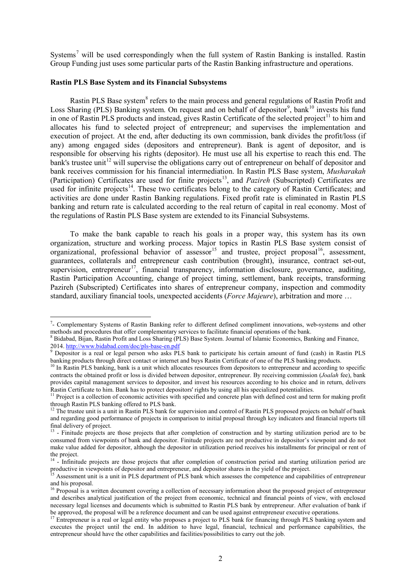Systems<sup>[7](#page-1-0)</sup> will be used correspondingly when the full system of Rastin Banking is installed. Rastin Group Funding just uses some particular parts of the Rastin Banking infrastructure and operations.

### **Rastin PLS Base System and its Financial Subsystems**

**.** 

Rastin PLS Base system<sup>[8](#page-1-1)</sup> refers to the main process and general regulations of Rastin Profit and Loss Sharing (PLS) Banking system. On request and on behalf of depositor<sup>[9](#page-1-2)</sup>, bank<sup>[10](#page-1-3)</sup> invests his fund in one of Rastin PLS products and instead, gives Rastin Certificate of the selected project<sup>[11](#page-1-4)</sup> to him and allocates his fund to selected project of entrepreneur; and supervises the implementation and execution of project. At the end, after deducting its own commission, bank divides the profit/loss (if any) among engaged sides (depositors and entrepreneur). Bank is agent of depositor, and is responsible for observing his rights (depositor). He must use all his expertise to reach this end. The bank's trustee unit<sup>[12](#page-1-5)</sup> will supervise the obligations carry out of entrepreneur on behalf of depositor and bank receives commission for his financial intermediation. In Rastin PLS Base system, *Musharakah* (Participation) Certificates are used for finite projects<sup>13</sup>, and *Pazireh* (Subscripted) Certificates are used for infinite projects<sup>14</sup>. These two certificates belong to the category of Rastin Certificates; and activities are done under Rastin Banking regulations. Fixed profit rate is eliminated in Rastin PLS banking and return rate is calculated according to the real return of capital in real economy. Most of the regulations of Rastin PLS Base system are extended to its Financial Subsystems.

To make the bank capable to reach his goals in a proper way, this system has its own organization, structure and working process. Major topics in Rastin PLS Base system consist of organizational, professional behavior of assessor<sup>[15](#page-1-8)</sup> and trustee, project proposal<sup>[16](#page-1-9)</sup>, assessment, guarantees, collaterals and entrepreneur cash contribution (brought), insurance, contract set-out, supervision, entrepreneur<sup>17</sup>, financial transparency, information disclosure, governance, auditing, Rastin Participation Accounting, change of project timing, settlement, bank receipts, transforming Pazireh (Subscripted) Certificates into shares of entrepreneur company, inspection and commodity standard, auxiliary financial tools, unexpected accidents (*Force Majeure*), arbitration and more …

<span id="page-1-0"></span><sup>&</sup>lt;sup>7</sup>- Complementary Systems of Rastin Banking refer to different defined compliment innovations, web-systems and other methods and procedures that offer complementary services to facilitate financial operations of the bank. 8 Bidabad, Bijan, Rastin Profit and Loss Sharing (PLS) Base System. Journal of Islamic Economics, Banking and Finance

<span id="page-1-1"></span><sup>2014.</sup> http://www.bidabad.com/doc/pls-base-en.pdf<br>
<sup>9</sup> Depositor is a real or legal person who asks PLS bank to participate his certain amount of fund (cash) in Rastin PLS

<span id="page-1-2"></span>banking products through direct contact or internet and buys Rastin Certificate of one of the PLS banking products.

<span id="page-1-3"></span>In Rastin PLS banking, bank is a unit which allocates resources from depositors to entrepreneur and according to specific contracts the obtained profit or loss is divided between depositor, entrepreneur. By receiving commission (*Joalah* fee), bank provides capital management services to depositor, and invest his resources according to his choice and in return, delivers Rastin Certificate to him. Bank has to protect depositors' rights by using all his specialized potentialities.

<span id="page-1-4"></span><sup>&</sup>lt;sup>11</sup> Project is a collection of economic activities with specified and concrete plan with defined cost and term for making profit through Rastin PLS banking offered to PLS bank.

<span id="page-1-5"></span> $12$  The trustee unit is a unit in Rastin PLS bank for supervision and control of Rastin PLS proposed projects on behalf of bank and regarding good performance of projects in comparison to initial proposal through key indicators and financial reports till final delivery of project.

<span id="page-1-6"></span> $13$  - Finitude projects are those projects that after completion of construction and by starting utilization period are to be consumed from viewpoints of bank and depositor. Finitude projects are not productive in depositor's viewpoint and do not make value added for depositor, although the depositor in utilization period receives his installments for principal or rent of the project.

<span id="page-1-7"></span><sup>&</sup>lt;sup>14</sup> - Infinitude projects are those projects that after completion of construction period and starting utilization period are productive in viewpoints of depositor and entrepreneur, and depositor shares in the yield of the project.<br><sup>15</sup> Assessment unit is a unit in PLS department of PLS bank which assesses the competence and capabilities of entre

<span id="page-1-8"></span>and his proposal.

<span id="page-1-9"></span><sup>&</sup>lt;sup>16</sup> Proposal is a written document covering a collection of necessary information about the proposed project of entrepreneur and describes analytical justification of the project from economic, technical and financial points of view, with enclosed necessary legal licenses and documents which is submitted to Rastin PLS bank by entrepreneur. After evaluation of bank if be approved, the proposal will be a reference document and can be used against entrepreneur executive operations.

<span id="page-1-10"></span><sup>17</sup> Entrepreneur is a real or legal entity who proposes a project to PLS bank for financing through PLS banking system and executes the project until the end. In addition to have legal, financial, technical and performance capabilities, the entrepreneur should have the other capabilities and facilities/possibilities to carry out the job.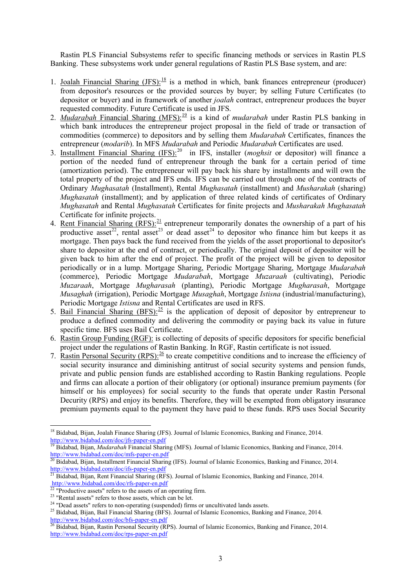Rastin PLS Financial Subsystems refer to specific financing methods or services in Rastin PLS Banking. These subsystems work under general regulations of Rastin PLS Base system, and are:

- 1. Joalah Financial Sharing  $(JFS):^{18}$  $(JFS):^{18}$  $(JFS):^{18}$  is a method in which, bank finances entrepreneur (producer) from depositor's resources or the provided sources by buyer; by selling Future Certificates (to depositor or buyer) and in framework of another *joalah* contract, entrepreneur produces the buyer requested commodity. Future Certificate is used in JFS.
- 2. *Mudarabah* Financial Sharing (MFS):<sup>[19](#page-2-1)</sup> is a kind of *mudarabah* under Rastin PLS banking in which bank introduces the entrepreneur project proposal in the field of trade or transaction of commodities (commerce) to depositors and by selling them *Mudarabah* Certificates, finances the entrepreneur (*modarib*). In MFS *Mudarabah* and Periodic *Mudarabah* Certificates are used.
- 3. Installment Financial Sharing (IFS): [20](#page-2-2) in IFS, installer (*moghsit* or depositor) will finance a portion of the needed fund of entrepreneur through the bank for a certain period of time (amortization period). The entrepreneur will pay back his share by installments and will own the total property of the project and IFS ends. IFS can be carried out through one of the contracts of Ordinary *Mughasatah* (Installment), Rental *Mughasatah* (installment) and *Musharakah* (sharing) *Mughasatah* (installment); and by application of three related kinds of certificates of Ordinary *Mughasatah* and Rental *Mughasatah* Certificates for finite projects and *Musharakah Mughasatah* Certificate for infinite projects.
- 4. <u>Rent Financial Sharing (RFS):<sup>[21](#page-2-3)</sup></u> entrepreneur temporarily donates the ownership of a part of his productive asset<sup>22</sup>, rental asset<sup>23</sup> or dead asset<sup>[24](#page-2-6)</sup> to depositor who finance him but keeps it as mortgage. Then pays back the fund received from the yields of the asset proportional to depositor's share to depositor at the end of contract, or periodically. The original deposit of depositor will be given back to him after the end of project. The profit of the project will be given to depositor periodically or in a lump. Mortgage Sharing, Periodic Mortgage Sharing, Mortgage *Mudarabah* (commerce), Periodic Mortgage *Mudarabah*, Mortgage *Muzaraah* (cultivating), Periodic *Muzaraah*, Mortgage *Mugharasah* (planting), Periodic Mortgage *Mugharasah*, Mortgage *Musaghah* (irrigation), Periodic Mortgage *Musaghah*, Mortgage *Istisna* (industrial/manufacturing), Periodic Mortgage *Istisna* and Rental Certificates are used in RFS.
- 5. Bail Financial Sharing (BFS):  $\frac{25}{12}$  $\frac{25}{12}$  $\frac{25}{12}$  is the application of deposit of depositor by entrepreneur to produce a defined commodity and delivering the commodity or paying back its value in future specific time. BFS uses Bail Certificate.
- 6. Rastin Group Funding (RGF): is collecting of deposits of specific depositors for specific beneficial project under the regulations of Rastin Banking. In RGF, Rastin certificate is not issued.
- 7. Rastin Personal Security (RPS):  $^{26}$  $^{26}$  $^{26}$  to create competitive conditions and to increase the efficiency of social security insurance and diminishing antitrust of social security systems and pension funds, private and public pension funds are established according to Rastin Banking regulations. People and firms can allocate a portion of their obligatory (or optional) insurance premium payments (for himself or his employees) for social security to the funds that operate under Rastin Personal Decurity (RPS) and enjoy its benefits. Therefore, they will be exempted from obligatory insurance premium payments equal to the payment they have paid to these funds. RPS uses Social Security

**.** 

<span id="page-2-0"></span><sup>&</sup>lt;sup>18</sup> Bidabad, Bijan, Joalah Finance Sharing (JFS). Journal of Islamic Economics, Banking and Finance, 2014.<br>http://www.bidabad.com/doc/jfs-paper-en.pdf

<span id="page-2-1"></span><sup>&</sup>lt;sup>19</sup> Bidabad, Bijan, *Mudarabah* Financial Sharing (MFS). Journal of Islamic Economics, Banking and Finance, 2014.<br>http://www.bidabad.com/doc/mfs-paper-en.pdf

<span id="page-2-2"></span><sup>&</sup>lt;sup>20</sup> Bidabad, Bijan, Installment Financial Sharing (IFS). Journal of Islamic Economics, Banking and Finance, 2014.<br>http://www.bidabad.com/doc/ifs-paper-en.pdf

<span id="page-2-3"></span><sup>&</sup>lt;sup>21</sup> Bidabad, Bijan, Rent Financial Sharing (RFS). Journal of Islamic Economics, Banking and Finance, 2014.<br>  $\frac{http://www.bidabad.com/doc/rfs-paper-en.pdf}{22}$  "Productive assets" refers to the assets of an operating firm.

<span id="page-2-7"></span>

<span id="page-2-6"></span><span id="page-2-5"></span><span id="page-2-4"></span><sup>&</sup>lt;sup>23</sup> "Rental assets" refers to those assets, which can be let.<br><sup>24</sup> "Dead assets" refers to non-operating (suspended) firms or uncultivated lands assets.<br><sup>25</sup> Bidabad, Bijan, Bail Financial Sharing (BFS). Journal of Islami <http://www.bidabad.com/doc/bfs-paper-en.pdf><br><sup>26</sup> Bidabad, Bijan, Rastin Personal Security (RPS). Journal of Islamic Economics, Banking and Finance, 2014.

<span id="page-2-8"></span><http://www.bidabad.com/doc/rps-paper-en.pdf>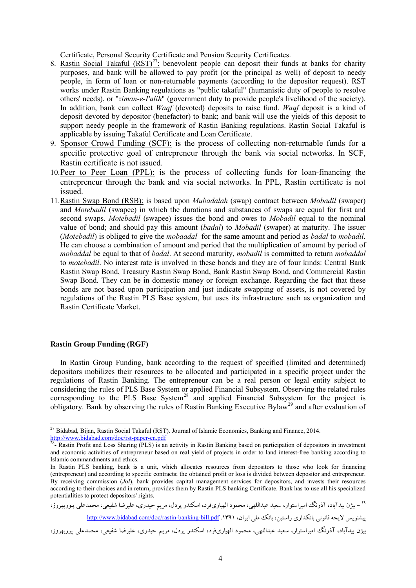Certificate, Personal Security Certificate and Pension Security Certificates.

- 8. Rastin Social Takaful  $(RST)^{27}$  $(RST)^{27}$  $(RST)^{27}$ : benevolent people can deposit their funds at banks for charity purposes, and bank will be allowed to pay profit (or the principal as well) of deposit to needy people, in form of loan or non-returnable payments (according to the depositor request). RST works under Rastin Banking regulations as "public takaful" (humanistic duty of people to resolve others' needs), or "*ziman-e-I'alih*" (government duty to provide people's livelihood of the society). In addition, bank can collect *Waqf* (devoted) deposits to raise fund. *Waqf* deposit is a kind of deposit devoted by depositor (benefactor) to bank; and bank will use the yields of this deposit to support needy people in the framework of Rastin Banking regulations. Rastin Social Takaful is applicable by issuing Takaful Certificate and Loan Certificate.
- 9. Sponsor Crowd Funding (SCF): is the process of collecting non-returnable funds for a specific protective goal of entrepreneur through the bank via social networks. In SCF, Rastin certificate is not issued.
- 10.Peer to Peer Loan (PPL): is the process of collecting funds for loan-financing the entrepreneur through the bank and via social networks. In PPL, Rastin certificate is not issued.
- 11.Rastin Swap Bond (RSB): is based upon *Mubadalah* (swap) contract between *Mobadil* (swaper) and *Motebadil* (swapee) in which the durations and substances of swaps are equal for first and second swaps. *Motebadil* (swapee) issues the bond and owes to *Mobadil* equal to the nominal value of bond; and should pay this amount (*badal*) to *Mobadil* (swaper) at maturity. The issuer (*Motebadil*) is obliged to give the *mobaadal* for the same amount and period as *badal* to *mobadil*. He can choose a combination of amount and period that the multiplication of amount by period of *mobaddal* be equal to that of *badal*. At second maturity, *mobadil* is committed to return *mobaddal* to *motebadil*. No interest rate is involved in these bonds and they are of four kinds: Central Bank Rastin Swap Bond, Treasury Rastin Swap Bond, Bank Rastin Swap Bond, and Commercial Rastin Swap Bond. They can be in domestic money or foreign exchange. Regarding the fact that these bonds are not based upon participation and just indicate swapping of assets, is not covered by regulations of the Rastin PLS Base system, but uses its infrastructure such as organization and Rastin Certificate Market.

#### **Rastin Group Funding (RGF)**

 $\overline{\phantom{a}}$ 

In Rastin Group Funding, bank according to the request of specified (limited and determined) depositors mobilizes their resources to be allocated and participated in a specific project under the regulations of Rastin Banking. The entrepreneur can be a real person or legal entity subject to considering the rules of PLS Base System or applied Financial Subsystem. Observing the related rules corresponding to the PLS Base  $System^{28}$  $System^{28}$  $System^{28}$  and applied Financial Subsystem for the project is obligatory. Bank by observing the rules of Rastin Banking Executive Bylaw<sup>[29](#page-3-2)</sup> and after evaluation of

<span id="page-3-2"></span>

<u><http://www.bidabad.com/doc/rastin-banking-bill.pdf></u> .1۳۹۱ ،ایران، ۱۳۹۱<u> ، http:</u> بیژن بیدآباد، آذرنگ امیراستوار، سعید عبداللهی، محمود الهیاريفرد، اسکندر پردل، مریم حیدري، علیرضا شفیعی، محمدعلی پوربهروز،

<sup>&</sup>lt;sup>27</sup> Bidabad, Bijan, Rastin Social Takaful (RST). Journal of Islamic Economics, Banking and Finance, 2014.

<span id="page-3-1"></span><span id="page-3-0"></span><http://www.bidabad.com/doc/rst-paper-en.pdf><br><sup>28</sup>- Rastin Profit and Loss Sharing (PLS) is an activity in Rastin Banking based on participation of depositors in investment and economic activities of entrepreneur based on real yield of projects in order to land interest-free banking according to Islamic commandments and ethics.

In Rastin PLS banking, bank is a unit, which allocates resources from depositors to those who look for financing (entrepreneur) and according to specific contracts; the obtained profit or loss is divided between depositor and entrepreneur. By receiving commission (*Jol*), bank provides capital management services for depositors, and invests their resources according to their choices and in return, provides them by Rastin PLS banking Certificate. Bank has to use all his specialized - بیژن بیدآباد، آذرنگ امیراستوار، سعید عبداللهی، محمود الهیاریفرد، اسکندر پردل، مریم حیدری، علیرضا شفیعی، محمدعلی پـوربهروز،<br><sup>۲۹</sup> – بیژن بیدآباد، آذرنگ امیراستوار، سعید عبداللهی، محمود الهیاریفرد، اسکندر پردل، مریم حیدری،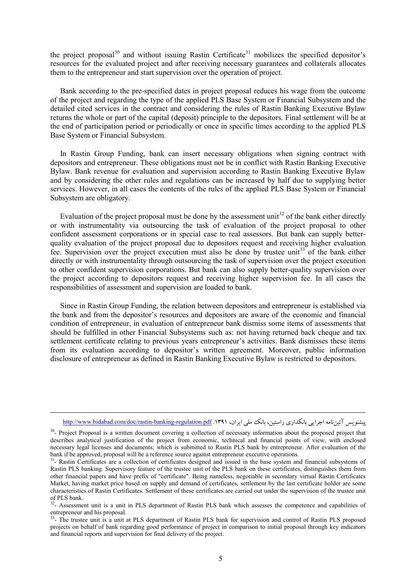the project proposal $30$  and without issuing Rastin Certificate<sup>[31](#page-4-1)</sup> mobilizes the specified depositor's resources for the evaluated project and after receiving necessary guarantees and collaterals allocates them to the entrepreneur and start supervision over the operation of project.

Bank according to the pre-specified dates in project proposal reduces his wage from the outcome of the project and regarding the type of the applied PLS Base System or Financial Subsystem and the detailed cited services in the contract and considering the rules of Rastin Banking Executive Bylaw returns the whole or part of the capital (deposit) principle to the depositors. Final settlement will be at the end of participation period or periodically or once in specific times according to the applied PLS Base System or Financial Subsystem.

In Rastin Group Funding, bank can insert necessary obligations when signing contract with depositors and entrepreneur. These obligations must not be in conflict with Rastin Banking Executive Bylaw. Bank revenue for evaluation and supervision according to Rastin Banking Executive Bylaw and by considering the other rules and regulations can be increased by half due to supplying better services. However, in all cases the contents of the rules of the applied PLS Base System or Financial Subsystem are obligatory.

Evaluation of the project proposal must be done by the assessment unit<sup>[32](#page-4-2)</sup> of the bank either directly or with instrumentality via outsourcing the task of evaluation of the project proposal to other confident assessment corporations or in special case to real assessors. But bank can supply betterquality evaluation of the project proposal due to depositors request and receiving higher evaluation fee. Supervision over the project execution must also be done by trustee unit<sup>[33](#page-4-3)</sup> of the bank either directly or with instrumentality through outsourcing the task of supervision over the project execution to other confident supervision corporations. But bank can also supply better-quality supervision over the project according to depositors request and receiving higher supervision fee. In all cases the responsibilities of assessment and supervision are loaded to bank.

Since in Rastin Group Funding, the relation between depositors and entrepreneur is established via the bank and from the depositor's resources and depositors are aware of the economic and financial condition of entrepreneur, in evaluation of entrepreneur bank dismiss some items of assessments that should be fulfilled in other Financial Subsystems such as: not having returned back cheque and tax settlement certificate relating to previous years entrepreneur's activities. Bank dismisses these items from its evaluation according to depositor's written agreement. Moreover, public information disclosure of entrepreneur as defined in Rastin Banking Executive Bylaw is restricted to depositors.

**.** 

<http://www.bidabad.com/doc/rastin-banking-regulation.pdf> .1891 ،ایشنویس آئیننامه اجرایی بانکداری راستین، بانک ملی ایران، ۱۳۹۱.

<span id="page-4-0"></span><sup>&</sup>lt;sup>30</sup>- Project Proposal is a written document covering a collection of necessary information about the proposed project that describes analytical justification of the project from economic, technical and financial points of view, with enclosed necessary legal licenses and documents; which is submitted to Rastin PLS bank by entrepreneur. After evaluation of the bank if be approved, proposal will be a reference source against entrepreneur executive operations.

<span id="page-4-1"></span> $31-$  Rastin Certificates are a collection of certificates designed and issued in the base system and financial subsystems of Rastin PLS banking. Supervisory feature of the trustee unit of the PLS bank on these certificates, distinguishes them from other financial papers and have prefix of "certificate". Being nameless, negotiable in secondary virtual Rastin Certificates Market, having market price based on supply and demand of certificates, settlement by the last certificate holder are some characteristics of Rastin Certificates. Settlement of these certificates are carried out under the supervision of the trustee unit of PLS bank.

<span id="page-4-2"></span><sup>&</sup>lt;sup>32</sup>- Assessment unit is a unit in PLS department of Rastin PLS bank which assesses the competence and capabilities of entrepreneur and his proposal.

<span id="page-4-3"></span><sup>&</sup>lt;sup>33</sup>- The trustee unit is a unit at PLS department of Rastin PLS bank for supervision and control of Rastin PLS proposed projects on behalf of bank regarding good performance of project in comparison to initial proposal through key indicators and financial reports and supervision for final delivery of the project.